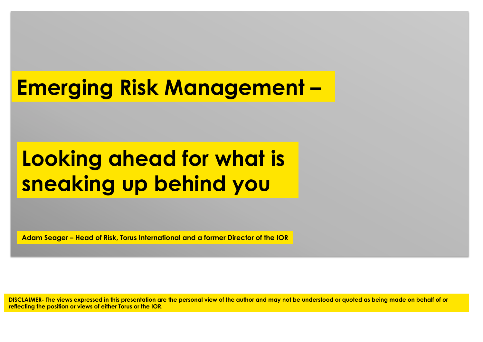# **Emerging Risk Management –**

# **Looking ahead for what is sneaking up behind you**

**Adam Seager – Head of Risk, Torus International and a former Director of the IOR** 

**DISCLAIMER- The views expressed in this presentation are the personal view of the author and may not be understood or quoted as being made on behalf of or reflecting the position or views of either Torus or the IOR.**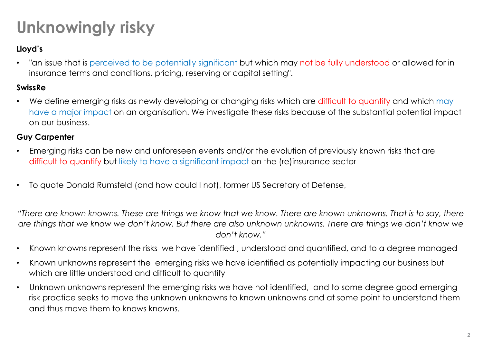## **Unknowingly risky**

### **Lloyd's**

• "an issue that is perceived to be potentially significant but which may not be fully understood or allowed for in insurance terms and conditions, pricing, reserving or capital setting".

#### **SwissRe**

We define emerging risks as newly developing or changing risks which are difficult to quantify and which may have a major impact on an organisation. We investigate these risks because of the substantial potential impact on our business.

#### **Guy Carpenter**

- Emerging risks can be new and unforeseen events and/or the evolution of previously known risks that are difficult to quantify but likely to have a significant impact on the (re)insurance sector
- To quote Donald Rumsfeld (and how could I not), former US Secretary of Defense,

*"There are known knowns. These are things we know that we know. There are known unknowns. That is to say, there are things that we know we don't know. But there are also unknown unknowns. There are things we don't know we don't know."* 

- Known knowns represent the risks we have identified , understood and quantified, and to a degree managed
- Known unknowns represent the emerging risks we have identified as potentially impacting our business but which are little understood and difficult to quantify
- Unknown unknowns represent the emerging risks we have not identified, and to some degree good emerging risk practice seeks to move the unknown unknowns to known unknowns and at some point to understand them and thus move them to knows knowns.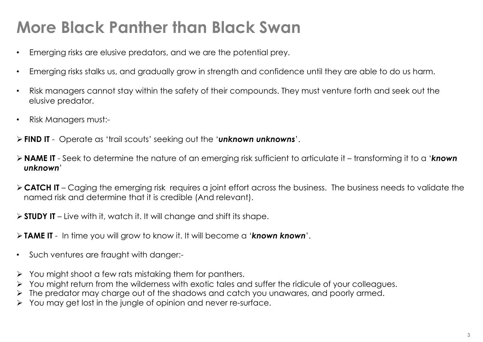## **More Black Panther than Black Swan**

- Emerging risks are elusive predators, and we are the potential prey.
- Emerging risks stalks us, and gradually grow in strength and confidence until they are able to do us harm.
- Risk managers cannot stay within the safety of their compounds. They must venture forth and seek out the elusive predator.
- Risk Managers must:-
- ! **FIND IT**  Operate as 'trail scouts' seeking out the '*unknown unknowns*'.
- ! **NAME IT**  Seek to determine the nature of an emerging risk sufficient to articulate it transforming it to a '*known unknown*'
- ! **CATCH IT**  Caging the emerging risk requires a joint effort across the business. The business needs to validate the named risk and determine that it is credible (And relevant).
- ! **STUDY IT**  Live with it, watch it. It will change and shift its shape.
- ! **TAME IT**  In time you will grow to know it. It will become a '*known known*'.
- Such ventures are fraught with danger:-
- You might shoot a few rats mistaking them for panthers.
- You might return from the wilderness with exotic tales and suffer the ridicule of your colleagues.
- The predator may charge out of the shadows and catch you unawares, and poorly armed.
- You may get lost in the jungle of opinion and never re-surface.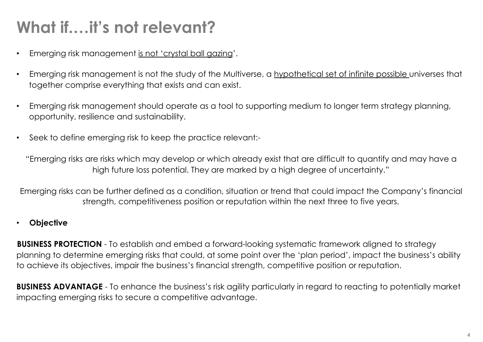## **What if.…it's not relevant?**

- Emerging risk management is not 'crystal ball gazing'.
- Emerging risk management is not the study of the Multiverse, a hypothetical set of infinite possible universes that together comprise everything that exists and can exist.
- Emerging risk management should operate as a tool to supporting medium to longer term strategy planning, opportunity, resilience and sustainability.
- Seek to define emerging risk to keep the practice relevant:-

"Emerging risks are risks which may develop or which already exist that are difficult to quantify and may have a high future loss potential. They are marked by a high degree of uncertainty."

Emerging risks can be further defined as a condition, situation or trend that could impact the Company's financial strength, competitiveness position or reputation within the next three to five years.

#### • **Objective**

**BUSINESS PROTECTION** - To establish and embed a forward-looking systematic framework aligned to strategy planning to determine emerging risks that could, at some point over the 'plan period', impact the business's ability to achieve its objectives, impair the business's financial strength, competitive position or reputation.

**BUSINESS ADVANTAGE** - To enhance the business's risk agility particularly in regard to reacting to potentially market impacting emerging risks to secure a competitive advantage.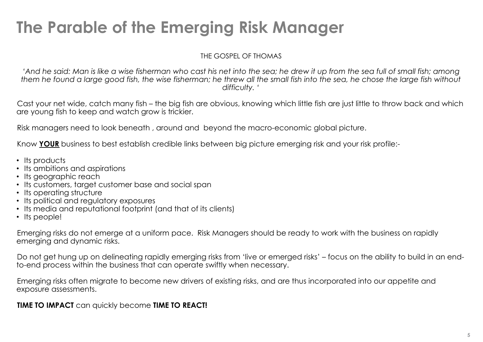## **The Parable of the Emerging Risk Manager**

THE GOSPEL OF THOMAS

*'And he said: Man is like a wise fisherman who cast his net into the sea; he drew it up from the sea full of small fish; among them he found a large good fish, the wise fisherman; he threw all the small fish into the sea, he chose the large fish without difficulty. '* 

Cast your net wide, catch many fish – the big fish are obvious, knowing which little fish are just little to throw back and which are young fish to keep and watch grow is trickier.

Risk managers need to look beneath , around and beyond the macro-economic global picture.

Know **YOUR** business to best establish credible links between big picture emerging risk and your risk profile:-

- Its products
- Its ambitions and aspirations
- Its geographic reach
- Its customers, target customer base and social span
- Its operating structure
- Its political and requidtory exposures
- Its media and reputational footprint (and that of its clients)
- Its people!

Emerging risks do not emerge at a uniform pace. Risk Managers should be ready to work with the business on rapidly emerging and dynamic risks.

Do not get hung up on delineating rapidly emerging risks from 'live or emerged risks' – focus on the ability to build in an endto-end process within the business that can operate swiftly when necessary.

Emerging risks often migrate to become new drivers of existing risks, and are thus incorporated into our appetite and exposure assessments.

**TIME TO IMPACT** can quickly become **TIME TO REACT!**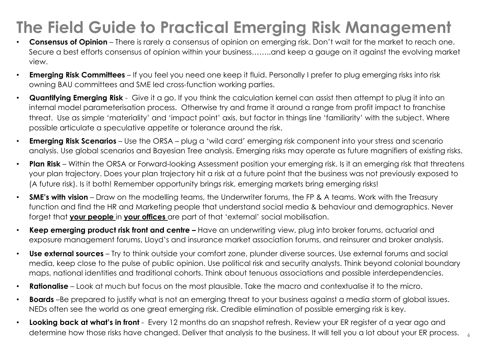## **The Field Guide to Practical Emerging Risk Management**

- **Consensus of Opinion**  There is rarely a consensus of opinion on emerging risk. Don't wait for the market to reach one. Secure a best efforts consensus of opinion within your business.......and keep a gauge on it against the evolving market view.
- **Emerging Risk Committees**  If you feel you need one keep it fluid. Personally I prefer to plug emerging risks into risk owning BAU committees and SME led cross-function working parties.
- **Quantifying Emerging Risk**  Give it a go. If you think the calculation kernel can assist then attempt to plug it into an internal model parameterisation process. Otherwise try and frame it around a range from profit impact to franchise threat. Use as simple 'materiality' and 'impact point' axis, but factor in things line 'familiarity' with the subject. Where possible articulate a speculative appetite or tolerance around the risk.
- **Emerging Risk Scenarios** Use the ORSA plug a 'wild card' emerging risk component into your stress and scenario analysis. Use global scenarios and Bayesian Tree analysis. Emerging risks may operate as future magnifiers of existing risks.
- **Plan Risk**  Within the ORSA or Forward-looking Assessment position your emerging risk. Is it an emerging risk that threatens your plan trajectory. Does your plan trajectory hit a risk at a future point that the business was not previously exposed to (A future risk). Is it both! Remember opportunity brings risk, emerging markets bring emerging risks!
- **SME's with vision**  Draw on the modelling teams, the Underwriter forums, the FP & A teams. Work with the Treasury function and find the HR and Marketing people that understand social media & behaviour and demographics. Never forget that **your people** in **your offices** are part of that 'external' social mobilisation.
- **Keep emerging product risk front and centre** Have an underwriting view, plug into broker forums, actuarial and exposure management forums, Lloyd's and insurance market association forums, and reinsurer and broker analysis.
- **Use external sources**  Try to think outside your comfort zone, plunder diverse sources. Use external forums and social media, keep close to the pulse of public opinion. Use political risk and security analysts. Think beyond colonial boundary maps, national identities and traditional cohorts. Think about tenuous associations and possible interdependencies.
- **Rationalise**  Look at much but focus on the most plausible. Take the macro and contextualise it to the micro.
- **Boards** –Be prepared to justify what is not an emerging threat to your business against a media storm of global issues. NEDs often see the world as one great emerging risk. Credible elimination of possible emerging risk is key.
- **6**  determine how those risks have changed. Deliver that analysis to the business. It will tell you a lot about your ER process. • **Looking back at what's in front** - Every 12 months do an snapshot refresh. Review your ER register of a year ago and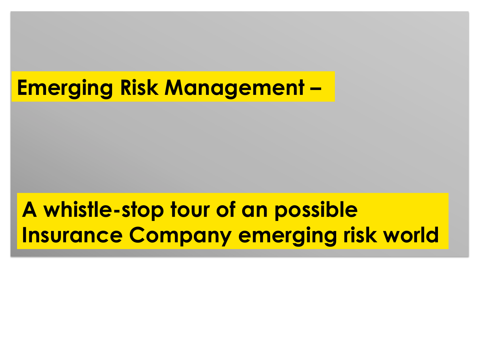# **Emerging Risk Management –**

# **A whistle-stop tour of an possible Insurance Company emerging risk world**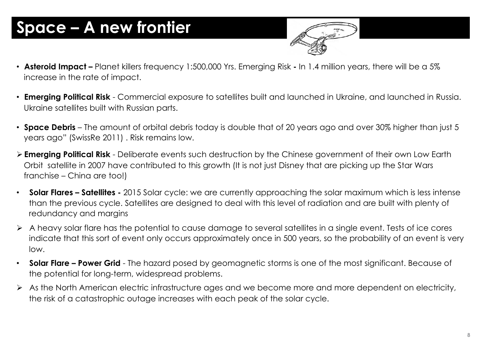## **Space – A new frontier**



- **Asteroid Impact** Planet killers frequency 1:500,000 Yrs. Emerging Risk In 1.4 million years, there will be a 5% increase in the rate of impact.
- **Emerging Political Risk**  Commercial exposure to satellites built and launched in Ukraine, and launched in Russia. Ukraine satellites built with Russian parts.
- **Space Debris**  The amount of orbital debris today is double that of 20 years ago and over 30% higher than just 5 years ago" (SwissRe 2011) . Risk remains low.
- ! **Emerging Political Risk**  Deliberate events such destruction by the Chinese government of their own Low Earth Orbit satellite in 2007 have contributed to this growth (It is not just Disney that are picking up the Star Wars franchise – China are too!)
- **Solar Flares Satellites** 2015 Solar cycle: we are currently approaching the solar maximum which is less intense than the previous cycle. Satellites are designed to deal with this level of radiation and are built with plenty of redundancy and margins
- ! A heavy solar flare has the potential to cause damage to several satellites in a single event. Tests of ice cores indicate that this sort of event only occurs approximately once in 500 years, so the probability of an event is very low.
- **Solar Flare Power Grid**  The hazard posed by geomagnetic storms is one of the most significant. Because of the potential for long-term, widespread problems.
- $\triangleright$  As the North American electric infrastructure ages and we become more and more dependent on electricity, the risk of a catastrophic outage increases with each peak of the solar cycle.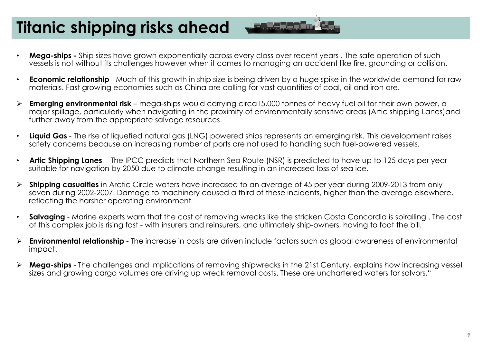## **Titanic shipping risks ahead**



- **Mega-ships** Ship sizes have grown exponentially across every class over recent years . The safe operation of such vessels is not without its challenges however when it comes to managing an accident like fire, grounding or collision.
- **Economic relationship**  Much of this growth in ship size is being driven by a huge spike in the worldwide demand for raw materials. Fast growing economies such as China are calling for vast quantities of coal, oil and iron ore.
- ! **Emerging environmental risk**  mega-ships would carrying circa15,000 tonnes of heavy fuel oil for their own power, a major spillage, particularly when navigating in the proximity of environmentally sensitive areas (Artic shipping Lanes)and further away from the appropriate salvage resources.
- **Liquid Gas**  The rise of liquefied natural gas (LNG) powered ships represents an emerging risk. This development raises safety concerns because an increasing number of ports are not used to handling such fuel-powered vessels.
- **Artic Shipping Lanes**  The IPCC predicts that Northern Sea Route (NSR) is predicted to have up to 125 days per year suitable for navigation by 2050 due to climate change resulting in an increased loss of sea ice.
- ! **Shipping casualties** in Arctic Circle waters have increased to an average of 45 per year during 2009-2013 from only seven during 2002-2007. Damage to machinery caused a third of these incidents, higher than the average elsewhere, reflecting the harsher operating environment
- **Salvaging**  Marine experts warn that the cost of removing wrecks like the stricken Costa Concordia is spiralling . The cost of this complex job is rising fast - with insurers and reinsurers, and ultimately ship-owners, having to foot the bill.
- ! **Environmental relationship**  The increase in costs are driven include factors such as global awareness of environmental impact.
- ! **Mega-ships**  The challenges and Implications of removing shipwrecks in the 21st Century, explains how increasing vessel sizes and growing cargo volumes are driving up wreck removal costs. These are unchartered waters for salvors."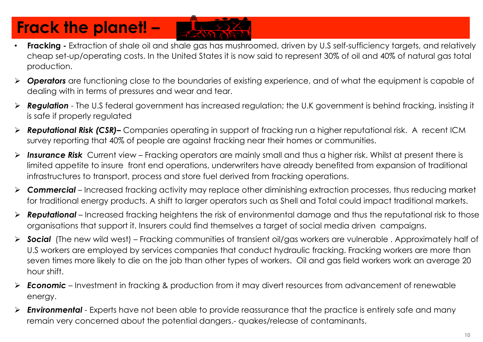## **Frack the planet! –**

- **Fracking** Extraction of shale oil and shale gas has mushroomed, driven by U.S self-sufficiency targets, and relatively cheap set-up/operating costs. In the United States it is now said to represent 30% of oil and 40% of natural gas total production.
- ! *Operators* are functioning close to the boundaries of existing experience, and of what the equipment is capable of dealing with in terms of pressures and wear and tear.
- ! *Regulation* The U.S federal government has increased regulation; the U.K government is behind fracking, insisting it is safe if properly regulated
- ! *Reputational Risk (CSR)–* Companies operating in support of fracking run a higher reputational risk. A recent ICM survey reporting that 40% of people are against fracking near their homes or communities.
- ! *Insurance Risk* Current view Fracking operators are mainly small and thus a higher risk. Whilst at present there is limited appetite to insure front end operations, underwriters have already benefited from expansion of traditional infrastructures to transport, process and store fuel derived from fracking operations.
- ! *Commercial*  Increased fracking activity may replace other diminishing extraction processes, thus reducing market for traditional energy products. A shift to larger operators such as Shell and Total could impact traditional markets.
- **Reputational** Increased fracking heightens the risk of environmental damage and thus the reputational risk to those organisations that support it. Insurers could find themselves a target of social media driven campaigns.
- ! *Social* (The new wild west) Fracking communities of transient oil/gas workers are vulnerable . Approximately half of U.S workers are employed by services companies that conduct hydraulic fracking. Fracking workers are more than seven times more likely to die on the job than other types of workers. Oil and gas field workers work an average 20 hour shift.
- **Economic** Investment in fracking & production from it may divert resources from advancement of renewable energy.
- ! *Environmental*  Experts have not been able to provide reassurance that the practice is entirely safe and many remain very concerned about the potential dangers.- quakes/release of contaminants.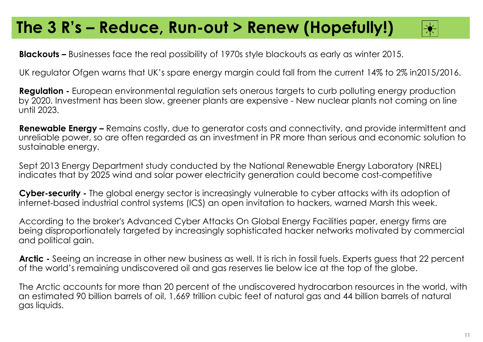### **The 3 R's – Reduce, Run-out > Renew (Hopefully!)**



**Blackouts –** Businesses face the real possibility of 1970s style blackouts as early as winter 2015.

UK regulator Ofgen warns that UK's spare energy margin could fall from the current 14% to 2% in2015/2016.

**Regulation -** European environmental regulation sets onerous targets to curb polluting energy production by 2020. Investment has been slow, greener plants are expensive - New nuclear plants not coming on line until 2023.

**Renewable Energy –** Remains costly, due to generator costs and connectivity, and provide intermittent and unreliable power, so are often regarded as an investment in PR more than serious and economic solution to sustainable energy.

Sept 2013 Energy Department study conducted by the National Renewable Energy Laboratory (NREL) indicates that by 2025 wind and solar power electricity generation could become cost-competitive

**Cyber-security -** The global energy sector is increasingly vulnerable to cyber attacks with its adoption of internet-based industrial control systems (ICS) an open invitation to hackers, warned Marsh this week.

According to the broker's Advanced Cyber Attacks On Global Energy Facilities paper, energy firms are being disproportionately targeted by increasingly sophisticated hacker networks motivated by commercial and political gain.

**Arctic -** Seeing an increase in other new business as well. It is rich in fossil fuels. Experts guess that 22 percent of the world's remaining undiscovered oil and gas reserves lie below ice at the top of the globe.

The Arctic accounts for more than 20 percent of the undiscovered hydrocarbon resources in the world, with an estimated 90 billion barrels of oil, 1,669 trillion cubic feet of natural gas and 44 billion barrels of natural gas liquids.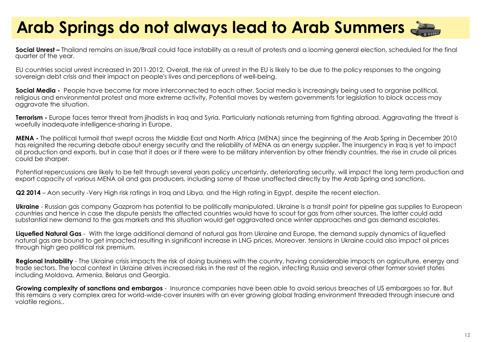## **Arab Springs do not always lead to Arab Summers**

**Social Unrest –** Thailand remains an issue/Brazil could face instability as a result of protests and a looming general election, scheduled for the final quarter of the year.

EU countries social unrest increased in 2011-2012. Overall, the risk of unrest in the EU is likely to be due to the policy responses to the ongoing sovereign debt crisis and their impact on people's lives and perceptions of well-being.

**Social Media -** People have become far more interconnected to each other. Social media is increasingly being used to organise political, religious and environmental protest and more extreme activity. Potential moves by western governments for legislation to block access may aggravate the situation.

**Terrorism -** Europe faces terror threat from jihadists in Iraq and Syria. Particularly nationals returning from fighting abroad. Aggravating the threat is woefully inadequate intelligence-sharing in Europe.

**MENA -** The political turmoil that swept across the Middle East and North Africa (MENA) since the beginning of the Arab Spring in December 2010 has reignited the recurring debate about energy security and the reliability of MENA as an energy supplier. The insurgency in Iraq is yet to impact oil production and exports. but in case that it does or if there were to be military intervention by other friendly countries, the rise in crude oil prices could be sharper.

Potential repercussions are likely to be felt through several years policy uncertainty, deteriorating security, will impact the long term production and export capacity of various MENA oil and gas producers, including some of those unaffected directly by the Arab Spring and sanctions.

**Q2 2014** – Aon security -Very High risk ratings in Iraq and Libya, and the High rating in Egypt, despite the recent election.

**Ukraine** - Russian gas company Gazprom has potential to be politically manipulated. Ukraine is a transit point for pipeline gas supplies to European countries and hence in case the dispute persists the affected countries would have to scout for gas from other sources. The latter could add substantial new demand to the gas markets and this situation would get aggravated once winter approaches and gas demand escalates.

**Liquefied Natural Gas** - With the large additional demand of natural gas from Ukraine and Europe, the demand supply dynamics of liquefied natural gas are bound to get impacted resulting in significant increase in LNG prices. Moreover, tensions in Ukraine could also impact oil prices through high geo political risk premium.

Regional Instability - The Ukraine crisis impacts the risk of doing business with the country, having considerable impacts on agriculture, energy and trade sectors. The local context in Ukraine drives increased risks in the rest of the region, infecting Russia and several other former soviet states including Moldova, Armenia, Belarus and Georgia.

**Growing complexity of sanctions and embargos** - Insurance companies have been able to avoid serious breaches of US embargoes so far. But this remains a very complex area for world-wide-cover insurers with an ever growing global trading environment threaded through insecure and volatile regions..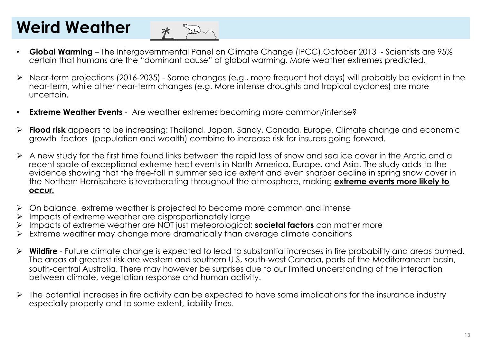## **Weird Weather**



- **Global Warming**  The Intergovernmental Panel on Climate Change (IPCC),October 2013 Scientists are 95% certain that humans are the "dominant cause" of global warming. More weather extremes predicted.
- ! Near-term projections (2016-2035) Some changes (e.g., more frequent hot days) will probably be evident in the near-term, while other near-term changes (e.g. More intense droughts and tropical cyclones) are more uncertain.
- **Extreme Weather Events**  Are weather extremes becoming more common/intense?
- ! **Flood risk** appears to be increasing: Thailand, Japan, Sandy, Canada, Europe. Climate change and economic growth factors (population and wealth) combine to increase risk for insurers going forward.
- ! A new study for the first time found links between the rapid loss of snow and sea ice cover in the Arctic and a recent spate of exceptional extreme heat events in North America, Europe, and Asia. The study adds to the evidence showing that the free-fall in summer sea ice extent and even sharper decline in spring snow cover in the Northern Hemisphere is reverberating throughout the atmosphere, making **extreme events more likely to occur.**
- ! On balance, extreme weather is projected to become more common and intense
- Impacts of extreme weather are disproportionately large
- ! Impacts of extreme weather are NOT just meteorological: **societal factors** can matter more
- Extreme weather may change more dramatically than average climate conditions
- ! **Wildfire**  Future climate change is expected to lead to substantial increases in fire probability and areas burned. The areas at greatest risk are western and southern U.S, south-west Canada, parts of the Mediterranean basin, south-central Australia. There may however be surprises due to our limited understanding of the interaction between climate, vegetation response and human activity.
- ! The potential increases in fire activity can be expected to have some implications for the insurance industry especially property and to some extent, liability lines.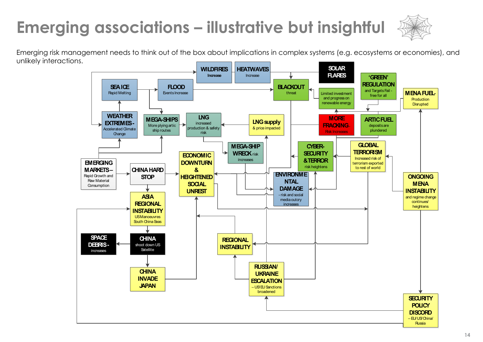## **Emerging associations – illustrative but insightful**



Emerging risk management needs to think out of the box about implications in complex systems (e.g. ecosystems or economies), and unlikely interactions.

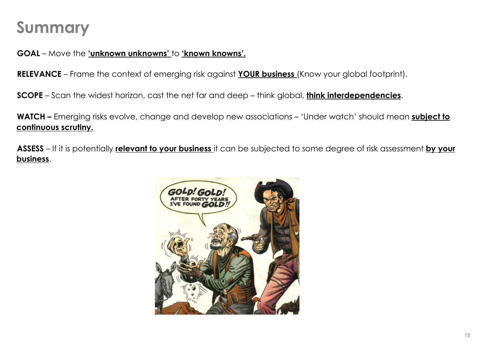### **Summary**

**GOAL** – Move the **'unknown unknowns'** to **'known knowns'.** 

**RELEVANCE** – Frame the context of emerging risk against **YOUR business** (Know your global footprint).

**SCOPE** – Scan the widest horizon, cast the net far and deep – think global, **think interdependencies**.

**WATCH –** Emerging risks evolve, change and develop new associations – 'Under watch' should mean **subject to continuous scrutiny.** 

**ASSESS** – If it is potentially **relevant to your business** it can be subjected to some degree of risk assessment **by your business**.